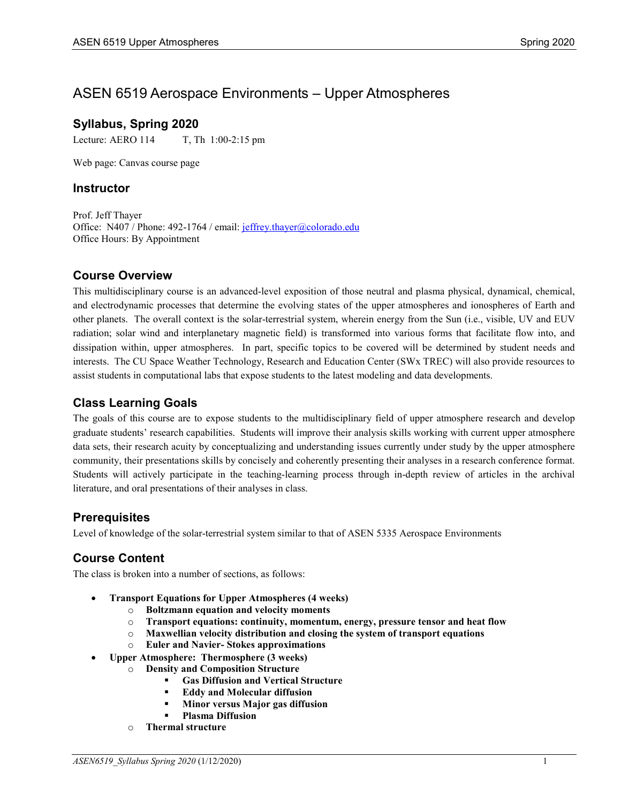# ASEN 6519 Aerospace Environments – Upper Atmospheres

### **Syllabus, Spring 2020**

Lecture: AERO 114 T, Th 1:00-2:15 pm

Web page: Canvas course page

#### **Instructor**

Prof. Jeff Thayer Office: N407 / Phone: 492-1764 / email: [jeffrey.thayer@colorado.edu](mailto:jeffrey.thayer@colorado.edu) Office Hours: By Appointment

### **Course Overview**

This multidisciplinary course is an advanced-level exposition of those neutral and plasma physical, dynamical, chemical, and electrodynamic processes that determine the evolving states of the upper atmospheres and ionospheres of Earth and other planets. The overall context is the solar-terrestrial system, wherein energy from the Sun (i.e., visible, UV and EUV radiation; solar wind and interplanetary magnetic field) is transformed into various forms that facilitate flow into, and dissipation within, upper atmospheres. In part, specific topics to be covered will be determined by student needs and interests. The CU Space Weather Technology, Research and Education Center (SWx TREC) will also provide resources to assist students in computational labs that expose students to the latest modeling and data developments.

### **Class Learning Goals**

The goals of this course are to expose students to the multidisciplinary field of upper atmosphere research and develop graduate students' research capabilities. Students will improve their analysis skills working with current upper atmosphere data sets, their research acuity by conceptualizing and understanding issues currently under study by the upper atmosphere community, their presentations skills by concisely and coherently presenting their analyses in a research conference format. Students will actively participate in the teaching-learning process through in-depth review of articles in the archival literature, and oral presentations of their analyses in class.

### **Prerequisites**

Level of knowledge of the solar-terrestrial system similar to that of ASEN 5335 Aerospace Environments

# **Course Content**

The class is broken into a number of sections, as follows:

- **Transport Equations for Upper Atmospheres (4 weeks)**
	- o **Boltzmann equation and velocity moments**
	- o **Transport equations: continuity, momentum, energy, pressure tensor and heat flow**
	- o **Maxwellian velocity distribution and closing the system of transport equations**
	- o **Euler and Navier- Stokes approximations**
- **Upper Atmosphere: Thermosphere (3 weeks)**
	- o **Density and Composition Structure**
		- **Gas Diffusion and Vertical Structure**
		- **Eddy and Molecular diffusion**
		- **Minor versus Major gas diffusion**
		- **Plasma Diffusion**
	- o **Thermal structure**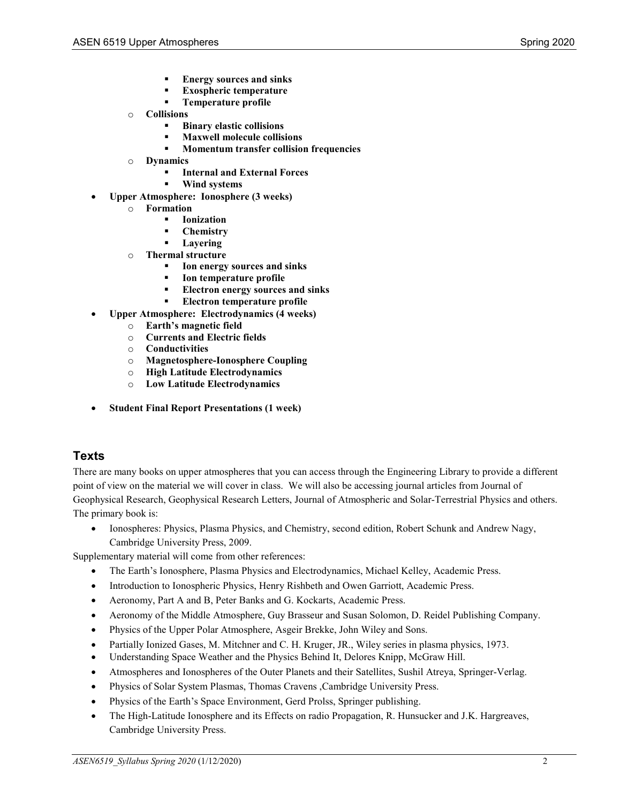- **Energy sources and sinks**
- **Exospheric temperature**
- **Temperature profile**
- o **Collisions**
	- **Binary elastic collisions**
	- **Maxwell molecule collisions**
	- **Momentum transfer collision frequencies**
- o **Dynamics**
	- **Internal and External Forces**
	- **Wind systems**
- **Upper Atmosphere: Ionosphere (3 weeks)**
	- o **Formation**
		- **Ionization**
		- **Chemistry**
		- **Layering**
	- o **Thermal structure**
		- **Ion energy sources and sinks**
		- **Ion temperature profile**
		- **Electron energy sources and sinks**
		- **Electron temperature profile**
- **Upper Atmosphere: Electrodynamics (4 weeks)**
	- o **Earth's magnetic field**
	- o **Currents and Electric fields**
	- **Conductivities**
	- o **Magnetosphere-Ionosphere Coupling**
	- o **High Latitude Electrodynamics**
	- **Low Latitude Electrodynamics**
- **Student Final Report Presentations (1 week)**

### **Texts**

There are many books on upper atmospheres that you can access through the Engineering Library to provide a different point of view on the material we will cover in class. We will also be accessing journal articles from Journal of Geophysical Research, Geophysical Research Letters, Journal of Atmospheric and Solar-Terrestrial Physics and others. The primary book is:

• Ionospheres: Physics, Plasma Physics, and Chemistry, second edition, Robert Schunk and Andrew Nagy, Cambridge University Press, 2009.

Supplementary material will come from other references:

- The Earth's Ionosphere, Plasma Physics and Electrodynamics, Michael Kelley, Academic Press.
- Introduction to Ionospheric Physics, Henry Rishbeth and Owen Garriott, Academic Press.
- Aeronomy, Part A and B, Peter Banks and G. Kockarts, Academic Press.
- Aeronomy of the Middle Atmosphere, Guy Brasseur and Susan Solomon, D. Reidel Publishing Company.
- Physics of the Upper Polar Atmosphere, Asgeir Brekke, John Wiley and Sons.
- Partially Ionized Gases, M. Mitchner and C. H. Kruger, JR., Wiley series in plasma physics, 1973.
- Understanding Space Weather and the Physics Behind It, Delores Knipp, McGraw Hill.
- Atmospheres and Ionospheres of the Outer Planets and their Satellites, Sushil Atreya, Springer-Verlag.
- Physics of Solar System Plasmas, Thomas Cravens ,Cambridge University Press.
- Physics of the Earth's Space Environment, Gerd Prolss, Springer publishing.
- The High-Latitude Ionosphere and its Effects on radio Propagation, R. Hunsucker and J.K. Hargreaves, Cambridge University Press.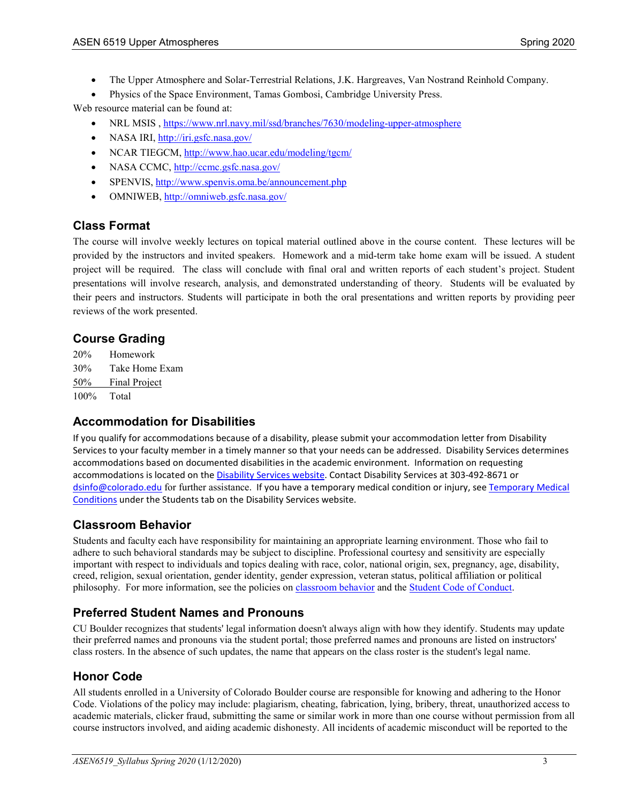- The Upper Atmosphere and Solar-Terrestrial Relations, J.K. Hargreaves, Van Nostrand Reinhold Company.
- Physics of the Space Environment, Tamas Gombosi, Cambridge University Press.

Web resource material can be found at:

- NRL MSIS ,<https://www.nrl.navy.mil/ssd/branches/7630/modeling-upper-atmosphere>
- NASA IRI,<http://iri.gsfc.nasa.gov/>
- NCAR TIEGCM[, http://www.hao.ucar.edu/modeling/tgcm/](http://www.hao.ucar.edu/modeling/tgcm/)
- NASA CCMC[, http://ccmc.gsfc.nasa.gov/](http://ccmc.gsfc.nasa.gov/)
- SPENVIS[, http://www.spenvis.oma.be/announcement.php](http://www.spenvis.oma.be/announcement.php)
- OMNIWEB,<http://omniweb.gsfc.nasa.gov/>

### **Class Format**

The course will involve weekly lectures on topical material outlined above in the course content. These lectures will be provided by the instructors and invited speakers. Homework and a mid-term take home exam will be issued. A student project will be required. The class will conclude with final oral and written reports of each student's project. Student presentations will involve research, analysis, and demonstrated understanding of theory. Students will be evaluated by their peers and instructors. Students will participate in both the oral presentations and written reports by providing peer reviews of the work presented.

# **Course Grading**

20% Homework 30% Take Home Exam 50% Final Project 100% Total

### **Accommodation for Disabilities**

If you qualify for accommodations because of a disability, please submit your accommodation letter from Disability Services to your faculty member in a timely manner so that your needs can be addressed. Disability Services determines accommodations based on documented disabilities in the academic environment. Information on requesting accommodations is located on th[e Disability Services website.](http://www.colorado.edu/disabilityservices/students) Contact Disability Services at 303-492-8671 or [dsinfo@colorado.edu](mailto:dsinfo@colorado.edu) for further assistance. If you have a temporary medical condition or injury, se[e Temporary Medical](http://www.colorado.edu/disabilityservices/students/temporary-medical-conditions)  [Conditions](http://www.colorado.edu/disabilityservices/students/temporary-medical-conditions) under the Students tab on the Disability Services website.

### **Classroom Behavior**

Students and faculty each have responsibility for maintaining an appropriate learning environment. Those who fail to adhere to such behavioral standards may be subject to discipline. Professional courtesy and sensitivity are especially important with respect to individuals and topics dealing with race, color, national origin, sex, pregnancy, age, disability, creed, religion, sexual orientation, gender identity, gender expression, veteran status, political affiliation or political philosophy. For more information, see the policies on [classroom](http://www.colorado.edu/policies/student-classroom-and-course-related-behavior) behavior and the [Student Code of Conduct.](http://www.colorado.edu/osccr/)

# **Preferred Student Names and Pronouns**

CU Boulder recognizes that students' legal information doesn't always align with how they identify. Students may update their preferred names and pronouns via the student portal; those preferred names and pronouns are listed on instructors' class rosters. In the absence of such updates, the name that appears on the class roster is the student's legal name.

### **Honor Code**

All students enrolled in a University of Colorado Boulder course are responsible for knowing and adhering to the Honor Code. Violations of the policy may include: plagiarism, cheating, fabrication, lying, bribery, threat, unauthorized access to academic materials, clicker fraud, submitting the same or similar work in more than one course without permission from all course instructors involved, and aiding academic dishonesty. All incidents of academic misconduct will be reported to the